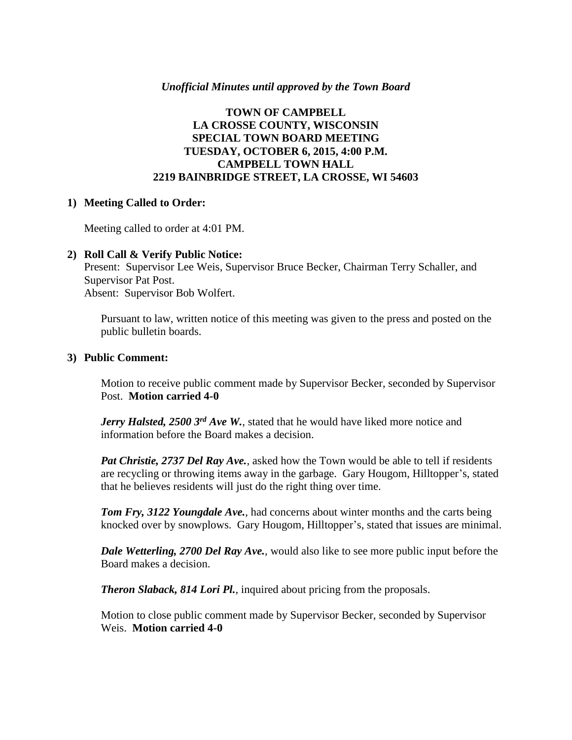### *Unofficial Minutes until approved by the Town Board*

## **TOWN OF CAMPBELL LA CROSSE COUNTY, WISCONSIN SPECIAL TOWN BOARD MEETING TUESDAY, OCTOBER 6, 2015, 4:00 P.M. CAMPBELL TOWN HALL 2219 BAINBRIDGE STREET, LA CROSSE, WI 54603**

### **1) Meeting Called to Order:**

Meeting called to order at 4:01 PM.

#### **2) Roll Call & Verify Public Notice:**

Present: Supervisor Lee Weis, Supervisor Bruce Becker, Chairman Terry Schaller, and Supervisor Pat Post. Absent: Supervisor Bob Wolfert.

Pursuant to law, written notice of this meeting was given to the press and posted on the public bulletin boards.

### **3) Public Comment:**

Motion to receive public comment made by Supervisor Becker, seconded by Supervisor Post. **Motion carried 4-0**

*Jerry Halsted, 2500 3rd Ave W.*, stated that he would have liked more notice and information before the Board makes a decision.

*Pat Christie, 2737 Del Ray Ave.*, asked how the Town would be able to tell if residents are recycling or throwing items away in the garbage. Gary Hougom, Hilltopper's, stated that he believes residents will just do the right thing over time.

*Tom Fry, 3122 Youngdale Ave.*, had concerns about winter months and the carts being knocked over by snowplows. Gary Hougom, Hilltopper's, stated that issues are minimal.

*Dale Wetterling, 2700 Del Ray Ave.*, would also like to see more public input before the Board makes a decision.

*Theron Slaback, 814 Lori Pl.*, inquired about pricing from the proposals.

Motion to close public comment made by Supervisor Becker, seconded by Supervisor Weis. **Motion carried 4-0**